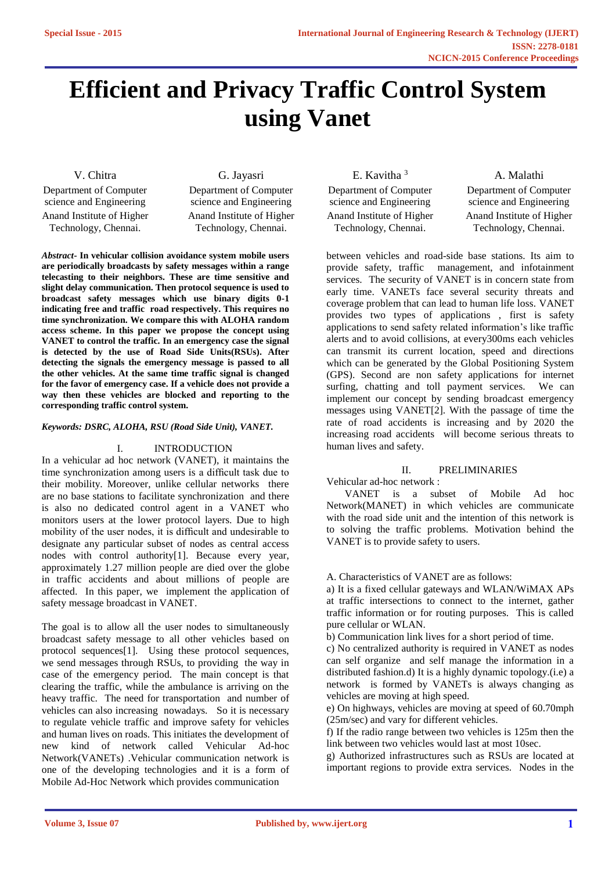# **Efficient and Privacy Traffic Control System using Vanet**

V. Chitra Department of Computer science and Engineering Anand Institute of Higher Technology, Chennai.

G. Jayasri

Department of Computer science and Engineering Anand Institute of Higher Technology, Chennai.

*Abstract***- In vehicular collision avoidance system mobile users are periodically broadcasts by safety messages within a range telecasting to their neighbors. These are time sensitive and slight delay communication. Then protocol sequence is used to broadcast safety messages which use binary digits 0-1 indicating free and traffic road respectively. This requires no time synchronization. We compare this with ALOHA random access scheme. In this paper we propose the concept using VANET to control the traffic. In an emergency case the signal is detected by the use of Road Side Units(RSUs). After detecting the signals the emergency message is passed to all the other vehicles. At the same time traffic signal is changed for the favor of emergency case. If a vehicle does not provide a way then these vehicles are blocked and reporting to the corresponding traffic control system.**

# *Keywords: DSRC, ALOHA, RSU (Road Side Unit), VANET.*

# I. INTRODUCTION

In a vehicular ad hoc network (VANET), it maintains the time synchronization among users is a difficult task due to their mobility. Moreover, unlike cellular networks there are no base stations to facilitate synchronization and there is also no dedicated control agent in a VANET who monitors users at the lower protocol layers. Due to high mobility of the user nodes, it is difficult and undesirable to designate any particular subset of nodes as central access nodes with control authority[1]. Because every year, approximately 1.27 million people are died over the globe in traffic accidents and about millions of people are affected. In this paper, we implement the application of safety message broadcast in VANET.

The goal is to allow all the user nodes to simultaneously broadcast safety message to all other vehicles based on protocol sequences[1]. Using these protocol sequences, we send messages through RSUs, to providing the way in case of the emergency period. The main concept is that clearing the traffic, while the ambulance is arriving on the heavy traffic. The need for transportation and number of vehicles can also increasing nowadays. So it is necessary to regulate vehicle traffic and improve safety for vehicles and human lives on roads. This initiates the development of new kind of network called Vehicular Ad-hoc Network(VANETs) .Vehicular communication network is one of the developing technologies and it is a form of Mobile Ad-Hoc Network which provides communication

E. Kavitha <sup>3</sup> Department of Computer science and Engineering Anand Institute of Higher Technology, Chennai.

A. Malathi Department of Computer science and Engineering Anand Institute of Higher Technology, Chennai.

between vehicles and road-side base stations. Its aim to provide safety, traffic management, and infotainment services. The security of VANET is in concern state from early time. VANETs face several security threats and coverage problem that can lead to human life loss. VANET provides two types of applications , first is safety applications to send safety related information's like traffic alerts and to avoid collisions, at every300ms each vehicles can transmit its current location, speed and directions which can be generated by the Global Positioning System (GPS). Second are non safety applications for internet surfing, chatting and toll payment services. We can implement our concept by sending broadcast emergency messages using VANET[2]. With the passage of time the rate of road accidents is increasing and by 2020 the increasing road accidents will become serious threats to human lives and safety.

## II. PRELIMINARIES

Vehicular ad-hoc network :

 VANET is a subset of Mobile Ad hoc Network(MANET) in which vehicles are communicate with the road side unit and the intention of this network is to solving the traffic problems. Motivation behind the VANET is to provide safety to users.

#### A. Characteristics of VANET are as follows:

a) It is a fixed cellular gateways and WLAN/WiMAX APs at traffic intersections to connect to the internet, gather traffic information or for routing purposes. This is called pure cellular or WLAN.

b) Communication link lives for a short period of time.

c) No centralized authority is required in VANET as nodes can self organize and self manage the information in a distributed fashion.d) It is a highly dynamic topology.(i.e) a network is formed by VANETs is always changing as vehicles are moving at high speed.

e) On highways, vehicles are moving at speed of 60.70mph (25m/sec) and vary for different vehicles.

f) If the radio range between two vehicles is 125m then the link between two vehicles would last at most 10sec.

g) Authorized infrastructures such as RSUs are located at important regions to provide extra services. Nodes in the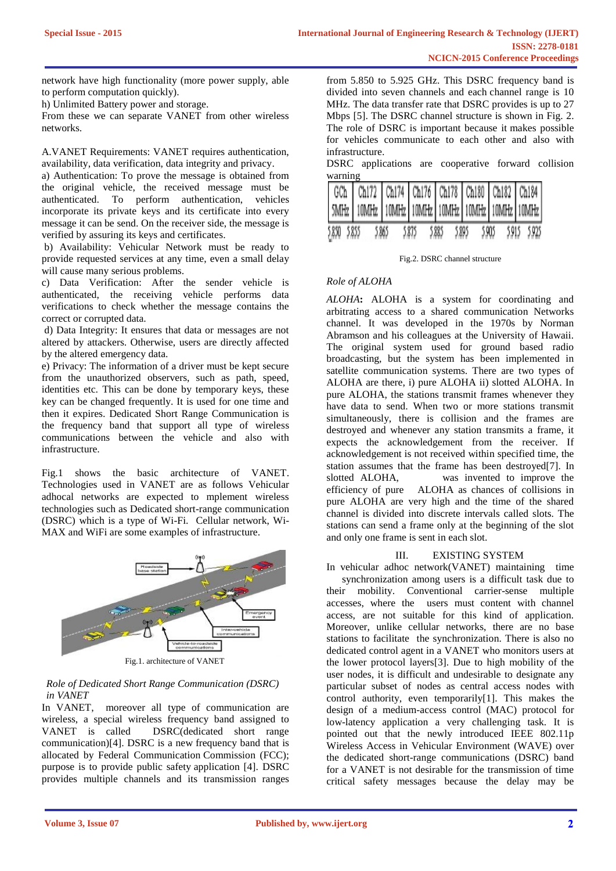network have high functionality (more power supply, able to perform computation quickly).

h) Unlimited Battery power and storage.

From these we can separate VANET from other wireless networks.

A.VANET Requirements: VANET requires authentication, availability, data verification, data integrity and privacy.

a) Authentication: To prove the message is obtained from the original vehicle, the received message must be authenticated. To perform authentication, vehicles incorporate its private keys and its certificate into every message it can be send. On the receiver side, the message is verified by assuring its keys and certificates.

b) Availability: Vehicular Network must be ready to provide requested services at any time, even a small delay will cause many serious problems.

c) Data Verification: After the sender vehicle is authenticated, the receiving vehicle performs data verifications to check whether the message contains the correct or corrupted data.

d) Data Integrity: It ensures that data or messages are not altered by attackers. Otherwise, users are directly affected by the altered emergency data.

e) Privacy: The information of a driver must be kept secure from the unauthorized observers, such as path, speed, identities etc. This can be done by temporary keys, these key can be changed frequently. It is used for one time and then it expires. Dedicated Short Range Communication is the frequency band that support all type of wireless communications between the vehicle and also with infrastructure.

Fig.1 shows the basic architecture of VANET. Technologies used in VANET are as follows Vehicular adhocal networks are expected to mplement wireless technologies such as Dedicated short-range communication (DSRC) which is a type of Wi-Fi. Cellular network, Wi-MAX and WiFi are some examples of infrastructure.



# *Role of Dedicated Short Range Communication (DSRC) in VANET*

In VANET, moreover all type of communication are wireless, a special wireless frequency band assigned to VANET is called DSRC(dedicated short range communication)[4]. DSRC is a new frequency band that is allocated by Federal Communication Commission (FCC); purpose is to provide public safety application [4]. DSRC provides multiple channels and its transmission ranges from 5.850 to 5.925 GHz. This DSRC frequency band is divided into seven channels and each channel range is 10 MHz. The data transfer rate that DSRC provides is up to 27 Mbps [5]. The DSRC channel structure is shown in Fig. 2. The role of DSRC is important because it makes possible for vehicles communicate to each other and also with infrastructure.

DSRC applications are cooperative forward collision warning

| 5.850 5.855 | 5.865 | 5875 | 5.895<br>5.885 | 5.905 | 5.915 5.925 |
|-------------|-------|------|----------------|-------|-------------|

Fig.2. DSRC channel structure

# *Role of ALOHA*

*ALOHA***:** ALOHA is a system for coordinating and arbitrating access to a shared communication Networks channel. It was developed in the 1970s by Norman Abramson and his colleagues at the University of Hawaii. The original system used for ground based radio broadcasting, but the system has been implemented in satellite communication systems. There are two types of ALOHA are there, i) pure ALOHA ii) slotted ALOHA. In pure ALOHA, the stations transmit frames whenever they have data to send. When two or more stations transmit simultaneously, there is collision and the frames are destroyed and whenever any station transmits a frame, it expects the acknowledgement from the receiver. If acknowledgement is not received within specified time, the station assumes that the frame has been destroyed[7]. In slotted ALOHA, was invented to improve the efficiency of pure ALOHA as chances of collisions in pure ALOHA are very high and the time of the shared channel is divided into discrete intervals called slots. The stations can send a frame only at the beginning of the slot and only one frame is sent in each slot.

# III. EXISTING SYSTEM

In vehicular adhoc network(VANET) maintaining time synchronization among users is a difficult task due to their mobility. Conventional carrier-sense multiple accesses, where the users must content with channel access, are not suitable for this kind of application. Moreover, unlike cellular networks, there are no base stations to facilitate the synchronization. There is also no dedicated control agent in a VANET who monitors users at the lower protocol layers[3]. Due to high mobility of the user nodes, it is difficult and undesirable to designate any particular subset of nodes as central access nodes with control authority, even temporarily[1]. This makes the design of a medium-access control (MAC) protocol for low-latency application a very challenging task. It is pointed out that the newly introduced IEEE 802.11p Wireless Access in Vehicular Environment (WAVE) over the dedicated short-range communications (DSRC) band for a VANET is not desirable for the transmission of time critical safety messages because the delay may be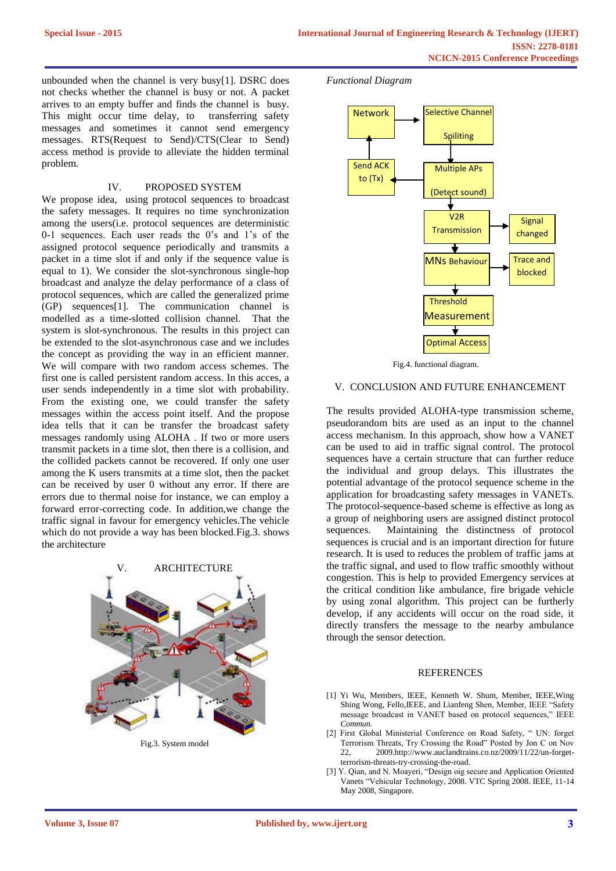unbounded when the channel is very busy[1]. DSRC does not checks whether the channel is busy or not. A packet arrives to an empty buffer and finds the channel is busy. This might occur time delay, to transferring safety messages and sometimes it cannot send emergency messages. RTS(Request to Send)/CTS(Clear to Send) access method is provide to alleviate the hidden terminal problem.

## IV. PROPOSED SYSTEM

We propose idea, using protocol sequences to broadcast the safety messages. It requires no time synchronization among the users(i.e. protocol sequences are deterministic 0-1 sequences. Each user reads the 0's and 1's of the assigned protocol sequence periodically and transmits a packet in a time slot if and only if the sequence value is equal to 1). We consider the slot-synchronous single-hop broadcast and analyze the delay performance of a class of protocol sequences, which are called the generalized prime (GP) sequences[1]. The communication channel is modelled as a time-slotted collision channel. That the system is slot-synchronous. The results in this project can be extended to the slot-asynchronous case and we includes the concept as providing the way in an efficient manner. We will compare with two random access schemes. The first one is called persistent random access. In this acces, a user sends independently in a time slot with probability. From the existing one, we could transfer the safety messages within the access point itself. And the propose idea tells that it can be transfer the broadcast safety messages randomly using ALOHA . If two or more users transmit packets in a time slot, then there is a collision, and the collided packets cannot be recovered. If only one user among the K users transmits at a time slot, then the packet can be received by user 0 without any error. If there are errors due to thermal noise for instance, we can employ a forward error-correcting code. In addition,we change the traffic signal in favour for emergency vehicles.The vehicle which do not provide a way has been blocked.Fig.3. shows the architecture



Fig.3. System model





Fig.4. functional diagram.

# V. CONCLUSION AND FUTURE ENHANCEMENT

The results provided ALOHA-type transmission scheme, pseudorandom bits are used as an input to the channel access mechanism. In this approach, show how a VANET can be used to aid in traffic signal control. The protocol sequences have a certain structure that can further reduce the individual and group delays. This illustrates the potential advantage of the protocol sequence scheme in the application for broadcasting safety messages in VANETs. The protocol-sequence-based scheme is effective as long as a group of neighboring users are assigned distinct protocol sequences. Maintaining the distinctness of protocol sequences is crucial and is an important direction for future research. It is used to reduces the problem of traffic jams at the traffic signal, and used to flow traffic smoothly without congestion. This is help to provided Emergency services at the critical condition like ambulance, fire brigade vehicle by using zonal algorithm. This project can be furtherly develop, if any accidents will occur on the road side, it directly transfers the message to the nearby ambulance through the sensor detection.

#### REFERENCES

- [1] Yi Wu, Members, IEEE, Kenneth W. Shum, Member, IEEE,Wing Shing Wong, Fello,IEEE, and Lianfeng Shen, Member, IEEE "Safety message broadcast in VANET based on protocol sequences," IEEE *Commun.*
- [2] First Global Ministerial Conference on Road Safety, " UN: forget Terrorism Threats, Try Crossing the Road" Posted by Jon C on Nov 22, 2009.http://www.auclandtrains.co.nz/2009/11/22/un-forgetterrorism-threats-try-crossing-the-road.
- [3] Y. Qian, and N. Moayeri, "Design oig secure and Application Oriented Vanets "Vehicular Technology, 2008. VTC Spring 2008. IEEE, 11-14 May 2008, Singapore.